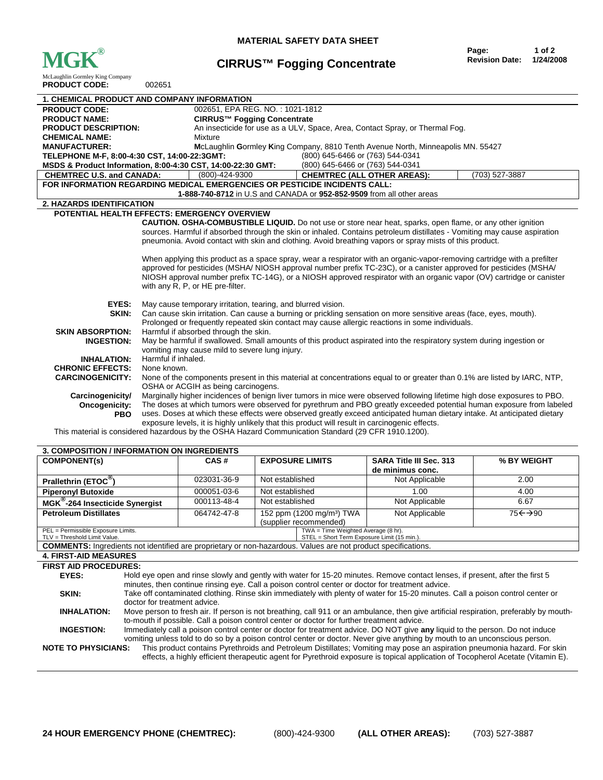

## **CIRRUS™ Fogging Concentrate**

| <b>PRODUCT CODE:</b><br>002651                                                                      |                                                                                                                                                                                                                                           |                                                                                                                          |                |  |  |
|-----------------------------------------------------------------------------------------------------|-------------------------------------------------------------------------------------------------------------------------------------------------------------------------------------------------------------------------------------------|--------------------------------------------------------------------------------------------------------------------------|----------------|--|--|
|                                                                                                     | <b>1. CHEMICAL PRODUCT AND COMPANY INFORMATION</b>                                                                                                                                                                                        |                                                                                                                          |                |  |  |
| <b>PRODUCT CODE:</b>                                                                                | 002651, EPA REG. NO.: 1021-1812                                                                                                                                                                                                           |                                                                                                                          |                |  |  |
| <b>PRODUCT NAME:</b>                                                                                | CIRRUS™ Fogging Concentrate                                                                                                                                                                                                               |                                                                                                                          |                |  |  |
| <b>PRODUCT DESCRIPTION:</b>                                                                         | An insecticide for use as a ULV, Space, Area, Contact Spray, or Thermal Fog.                                                                                                                                                              |                                                                                                                          |                |  |  |
| <b>CHEMICAL NAME:</b>                                                                               | Mixture                                                                                                                                                                                                                                   |                                                                                                                          |                |  |  |
| <b>MANUFACTURER:</b>                                                                                | McLaughlin Gormley King Company, 8810 Tenth Avenue North, Minneapolis MN. 55427                                                                                                                                                           |                                                                                                                          |                |  |  |
| TELEPHONE M-F, 8:00-4:30 CST, 14:00-22:3GMT:                                                        |                                                                                                                                                                                                                                           | (800) 645-6466 or (763) 544-0341                                                                                         |                |  |  |
|                                                                                                     | MSDS & Product Information, 8:00-4:30 CST, 14:00-22:30 GMT:                                                                                                                                                                               | (800) 645-6466 or (763) 544-0341                                                                                         |                |  |  |
| <b>CHEMTREC U.S. and CANADA:</b>                                                                    | (800)-424-9300                                                                                                                                                                                                                            | <b>CHEMTREC (ALL OTHER AREAS):</b>                                                                                       | (703) 527-3887 |  |  |
|                                                                                                     | FOR INFORMATION REGARDING MEDICAL EMERGENCIES OR PESTICIDE INCIDENTS CALL:                                                                                                                                                                |                                                                                                                          |                |  |  |
| 1-888-740-8712 in U.S and CANADA or 952-852-9509 from all other areas                               |                                                                                                                                                                                                                                           |                                                                                                                          |                |  |  |
| 2. HAZARDS IDENTIFICATION                                                                           |                                                                                                                                                                                                                                           |                                                                                                                          |                |  |  |
|                                                                                                     | POTENTIAL HEALTH EFFECTS: EMERGENCY OVERVIEW                                                                                                                                                                                              |                                                                                                                          |                |  |  |
|                                                                                                     |                                                                                                                                                                                                                                           | <b>CAUTION. OSHA-COMBUSTIBLE LIQUID.</b> Do not use or store near heat, sparks, open flame, or any other ignition        |                |  |  |
|                                                                                                     | sources. Harmful if absorbed through the skin or inhaled. Contains petroleum distillates - Vomiting may cause aspiration                                                                                                                  |                                                                                                                          |                |  |  |
|                                                                                                     |                                                                                                                                                                                                                                           | pneumonia. Avoid contact with skin and clothing. Avoid breathing vapors or spray mists of this product.                  |                |  |  |
|                                                                                                     |                                                                                                                                                                                                                                           |                                                                                                                          |                |  |  |
|                                                                                                     | When applying this product as a space spray, wear a respirator with an organic-vapor-removing cartridge with a prefilter                                                                                                                  |                                                                                                                          |                |  |  |
|                                                                                                     | approved for pesticides (MSHA/NIOSH approval number prefix TC-23C), or a canister approved for pesticides (MSHA/<br>NIOSH approval number prefix TC-14G), or a NIOSH approved respirator with an organic vapor (OV) cartridge or canister |                                                                                                                          |                |  |  |
|                                                                                                     | with any R, P, or HE pre-filter.                                                                                                                                                                                                          |                                                                                                                          |                |  |  |
|                                                                                                     |                                                                                                                                                                                                                                           |                                                                                                                          |                |  |  |
| EYES:                                                                                               | May cause temporary irritation, tearing, and blurred vision.                                                                                                                                                                              |                                                                                                                          |                |  |  |
| SKIN:                                                                                               | Can cause skin irritation. Can cause a burning or prickling sensation on more sensitive areas (face, eyes, mouth).                                                                                                                        |                                                                                                                          |                |  |  |
|                                                                                                     |                                                                                                                                                                                                                                           | Prolonged or frequently repeated skin contact may cause allergic reactions in some individuals.                          |                |  |  |
| <b>SKIN ABSORPTION:</b>                                                                             | Harmful if absorbed through the skin.                                                                                                                                                                                                     |                                                                                                                          |                |  |  |
| <b>INGESTION:</b>                                                                                   | May be harmful if swallowed. Small amounts of this product aspirated into the respiratory system during ingestion or                                                                                                                      |                                                                                                                          |                |  |  |
|                                                                                                     | vomiting may cause mild to severe lung injury.                                                                                                                                                                                            |                                                                                                                          |                |  |  |
| <b>INHALATION:</b>                                                                                  | Harmful if inhaled.                                                                                                                                                                                                                       |                                                                                                                          |                |  |  |
| <b>CHRONIC EFFECTS:</b>                                                                             | None known.                                                                                                                                                                                                                               |                                                                                                                          |                |  |  |
| <b>CARCINOGENICITY:</b>                                                                             |                                                                                                                                                                                                                                           | None of the components present in this material at concentrations equal to or greater than 0.1% are listed by IARC, NTP, |                |  |  |
|                                                                                                     | OSHA or ACGIH as being carcinogens.                                                                                                                                                                                                       |                                                                                                                          |                |  |  |
| Carcinogenicity/                                                                                    | Marginally higher incidences of benign liver tumors in mice were observed following lifetime high dose exposures to PBO.                                                                                                                  |                                                                                                                          |                |  |  |
| Oncogenicity:                                                                                       | The doses at which tumors were observed for pyrethrum and PBO greatly exceeded potential human exposure from labeled                                                                                                                      |                                                                                                                          |                |  |  |
| <b>PBO</b>                                                                                          |                                                                                                                                                                                                                                           | uses. Doses at which these effects were observed greatly exceed anticipated human dietary intake. At anticipated dietary |                |  |  |
|                                                                                                     | exposure levels, it is highly unlikely that this product will result in carcinogenic effects.                                                                                                                                             |                                                                                                                          |                |  |  |
| This material is considered hazardous by the OSHA Hazard Communication Standard (29 CFR 1910.1200). |                                                                                                                                                                                                                                           |                                                                                                                          |                |  |  |

| 3. COMPOSITION / INFORMATION ON INGREDIENTS                                                                          |                                                                                                                                                                                  |                                                                                    |                                |                    |  |
|----------------------------------------------------------------------------------------------------------------------|----------------------------------------------------------------------------------------------------------------------------------------------------------------------------------|------------------------------------------------------------------------------------|--------------------------------|--------------------|--|
| <b>COMPONENT(s)</b>                                                                                                  | CAS#                                                                                                                                                                             | <b>EXPOSURE LIMITS</b>                                                             | <b>SARA Title III Sec. 313</b> | % BY WEIGHT        |  |
|                                                                                                                      |                                                                                                                                                                                  |                                                                                    | de minimus conc.               |                    |  |
| Prallethrin (ETOC®)                                                                                                  | 023031-36-9                                                                                                                                                                      | Not established                                                                    | Not Applicable                 | 2.00               |  |
| <b>Piperonyl Butoxide</b>                                                                                            | 000051-03-6                                                                                                                                                                      | Not established                                                                    | 1.00                           | 4.00               |  |
| MGK®-264 Insecticide Synergist                                                                                       | 000113-48-4                                                                                                                                                                      | Not established                                                                    | Not Applicable                 | 6.67               |  |
| <b>Petroleum Distillates</b>                                                                                         | 064742-47-8                                                                                                                                                                      | 152 ppm (1200 mg/m <sup>3</sup> ) TWA                                              | Not Applicable                 | $75 \leftarrow 90$ |  |
|                                                                                                                      |                                                                                                                                                                                  | (supplier recommended)                                                             |                                |                    |  |
| PEL = Permissible Exposure Limits.<br>TLV = Threshold Limit Value.                                                   |                                                                                                                                                                                  | TWA = Time Weighted Average (8 hr).<br>STEL = Short Term Exposure Limit (15 min.). |                                |                    |  |
| <b>COMMENTS:</b> Ingredients not identified are proprietary or non-hazardous. Values are not product specifications. |                                                                                                                                                                                  |                                                                                    |                                |                    |  |
| <b>4. FIRST-AID MEASURES</b>                                                                                         |                                                                                                                                                                                  |                                                                                    |                                |                    |  |
| <b>FIRST AID PROCEDURES:</b>                                                                                         |                                                                                                                                                                                  |                                                                                    |                                |                    |  |
| EYES:                                                                                                                | Hold eye open and rinse slowly and gently with water for 15-20 minutes. Remove contact lenses, if present, after the first 5                                                     |                                                                                    |                                |                    |  |
|                                                                                                                      | minutes, then continue rinsing eye. Call a poison control center or doctor for treatment advice.                                                                                 |                                                                                    |                                |                    |  |
| SKIN:                                                                                                                | Take off contaminated clothing. Rinse skin immediately with plenty of water for 15-20 minutes. Call a poison control center or<br>ala a ta sufa sufa a ta ta a sufa a alcela a l |                                                                                    |                                |                    |  |

doctor for treatment advice. **INHALATION:** Move person to fresh air. If person is not breathing, call 911 or an ambulance, then give artificial respiration, preferably by mouthto-mouth if possible. Call a poison control center or doctor for further treatment advice.

**INGESTION:** Immediately call a poison control center or doctor for treatment advice. DO NOT give **any** liquid to the person. Do not induce vomiting unless told to do so by a poison control center or doctor. Never give anything by mouth to an unconscious person.<br>NOTE TO PHYSICIANS: This product contains Pyrethroids and Petroleum Distillates; Vomiting may pose This product contains Pyrethroids and Petroleum Distillates; Vomiting may pose an aspiration pneumonia hazard. For skin

effects, a highly efficient therapeutic agent for Pyrethroid exposure is topical application of Tocopherol Acetate (Vitamin E).